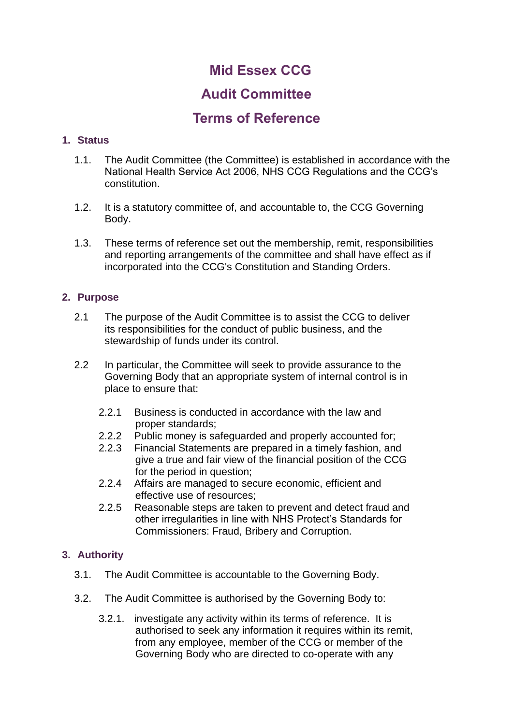# **Mid Essex CCG**

## **Audit Committee**

## **Terms of Reference**

## **1. Status**

- 1.1. The Audit Committee (the Committee) is established in accordance with the National Health Service Act 2006, NHS CCG Regulations and the CCG's constitution.
- 1.2. It is a statutory committee of, and accountable to, the CCG Governing Body.
- 1.3. These terms of reference set out the membership, remit, responsibilities and reporting arrangements of the committee and shall have effect as if incorporated into the CCG's Constitution and Standing Orders.

## **2. Purpose**

- 2.1 The purpose of the Audit Committee is to assist the CCG to deliver its responsibilities for the conduct of public business, and the stewardship of funds under its control.
- 2.2 In particular, the Committee will seek to provide assurance to the Governing Body that an appropriate system of internal control is in place to ensure that:
	- 2.2.1 Business is conducted in accordance with the law and proper standards;
	- 2.2.2 Public money is safeguarded and properly accounted for;
	- 2.2.3 Financial Statements are prepared in a timely fashion, and give a true and fair view of the financial position of the CCG for the period in question;
	- 2.2.4 Affairs are managed to secure economic, efficient and effective use of resources;
	- 2.2.5 Reasonable steps are taken to prevent and detect fraud and other irregularities in line with NHS Protect's Standards for Commissioners: Fraud, Bribery and Corruption.

## **3. Authority**

- 3.1. The Audit Committee is accountable to the Governing Body.
- 3.2. The Audit Committee is authorised by the Governing Body to:
	- 3.2.1. investigate any activity within its terms of reference. It is authorised to seek any information it requires within its remit, from any employee, member of the CCG or member of the Governing Body who are directed to co-operate with any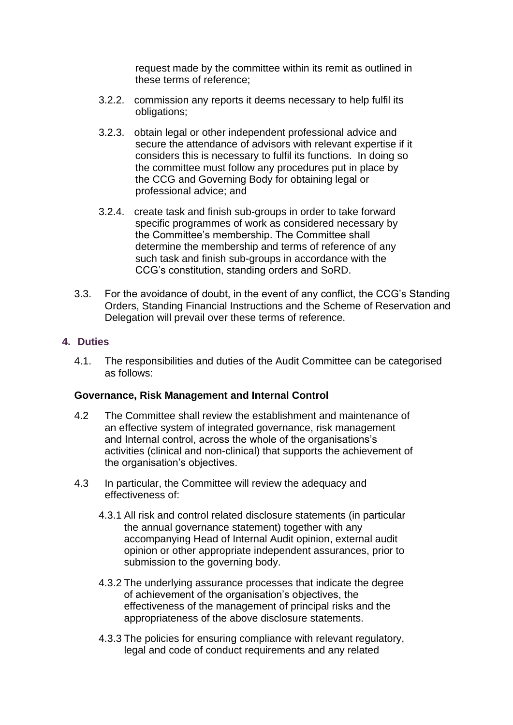request made by the committee within its remit as outlined in these terms of reference;

- 3.2.2. commission any reports it deems necessary to help fulfil its obligations;
- 3.2.3. obtain legal or other independent professional advice and secure the attendance of advisors with relevant expertise if it considers this is necessary to fulfil its functions. In doing so the committee must follow any procedures put in place by the CCG and Governing Body for obtaining legal or professional advice; and
- 3.2.4. create task and finish sub-groups in order to take forward specific programmes of work as considered necessary by the Committee's membership. The Committee shall determine the membership and terms of reference of any such task and finish sub-groups in accordance with the CCG's constitution, standing orders and SoRD.
- 3.3. For the avoidance of doubt, in the event of any conflict, the CCG's Standing Orders, Standing Financial Instructions and the Scheme of Reservation and Delegation will prevail over these terms of reference.

## **4. Duties**

4.1. The responsibilities and duties of the Audit Committee can be categorised as follows:

## **Governance, Risk Management and Internal Control**

- 4.2 The Committee shall review the establishment and maintenance of an effective system of integrated governance, risk management and Internal control, across the whole of the organisations's activities (clinical and non-clinical) that supports the achievement of the organisation's objectives.
- 4.3 In particular, the Committee will review the adequacy and effectiveness of:
	- 4.3.1 All risk and control related disclosure statements (in particular the annual governance statement) together with any accompanying Head of Internal Audit opinion, external audit opinion or other appropriate independent assurances, prior to submission to the governing body.
	- 4.3.2 The underlying assurance processes that indicate the degree of achievement of the organisation's objectives, the effectiveness of the management of principal risks and the appropriateness of the above disclosure statements.
	- 4.3.3 The policies for ensuring compliance with relevant regulatory, legal and code of conduct requirements and any related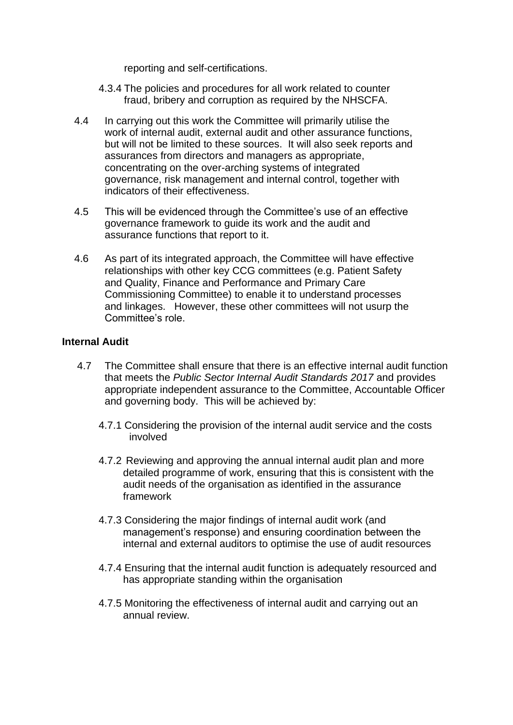reporting and self-certifications.

- 4.3.4 The policies and procedures for all work related to counter fraud, bribery and corruption as required by the NHSCFA.
- 4.4 In carrying out this work the Committee will primarily utilise the work of internal audit, external audit and other assurance functions, but will not be limited to these sources. It will also seek reports and assurances from directors and managers as appropriate, concentrating on the over-arching systems of integrated governance, risk management and internal control, together with indicators of their effectiveness.
- 4.5 This will be evidenced through the Committee's use of an effective governance framework to guide its work and the audit and assurance functions that report to it.
- 4.6 As part of its integrated approach, the Committee will have effective relationships with other key CCG committees (e.g. Patient Safety and Quality, Finance and Performance and Primary Care Commissioning Committee) to enable it to understand processes and linkages. However, these other committees will not usurp the Committee's role.

## **Internal Audit**

- 4.7 The Committee shall ensure that there is an effective internal audit function that meets the *Public Sector Internal Audit Standards 2017* and provides appropriate independent assurance to the Committee, Accountable Officer and governing body. This will be achieved by:
	- 4.7.1 Considering the provision of the internal audit service and the costs involved
	- 4.7.2 Reviewing and approving the annual internal audit plan and more detailed programme of work, ensuring that this is consistent with the audit needs of the organisation as identified in the assurance framework
	- 4.7.3 Considering the major findings of internal audit work (and management's response) and ensuring coordination between the internal and external auditors to optimise the use of audit resources
	- 4.7.4 Ensuring that the internal audit function is adequately resourced and has appropriate standing within the organisation
	- 4.7.5 Monitoring the effectiveness of internal audit and carrying out an annual review.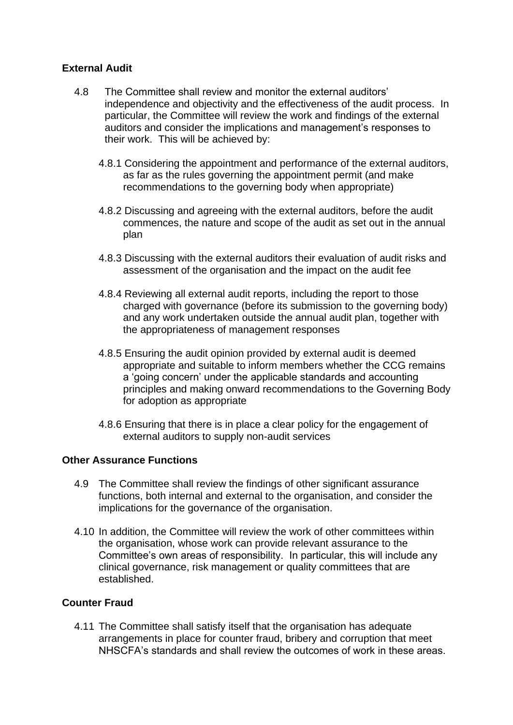## **External Audit**

- 4.8 The Committee shall review and monitor the external auditors' independence and objectivity and the effectiveness of the audit process. In particular, the Committee will review the work and findings of the external auditors and consider the implications and management's responses to their work. This will be achieved by:
	- 4.8.1 Considering the appointment and performance of the external auditors, as far as the rules governing the appointment permit (and make recommendations to the governing body when appropriate)
	- 4.8.2 Discussing and agreeing with the external auditors, before the audit commences, the nature and scope of the audit as set out in the annual plan
	- 4.8.3 Discussing with the external auditors their evaluation of audit risks and assessment of the organisation and the impact on the audit fee
	- 4.8.4 Reviewing all external audit reports, including the report to those charged with governance (before its submission to the governing body) and any work undertaken outside the annual audit plan, together with the appropriateness of management responses
	- 4.8.5 Ensuring the audit opinion provided by external audit is deemed appropriate and suitable to inform members whether the CCG remains a 'going concern' under the applicable standards and accounting principles and making onward recommendations to the Governing Body for adoption as appropriate
	- 4.8.6 Ensuring that there is in place a clear policy for the engagement of external auditors to supply non-audit services

## **Other Assurance Functions**

- 4.9 The Committee shall review the findings of other significant assurance functions, both internal and external to the organisation, and consider the implications for the governance of the organisation.
- 4.10 In addition, the Committee will review the work of other committees within the organisation, whose work can provide relevant assurance to the Committee's own areas of responsibility. In particular, this will include any clinical governance, risk management or quality committees that are established.

## **Counter Fraud**

4.11 The Committee shall satisfy itself that the organisation has adequate arrangements in place for counter fraud, bribery and corruption that meet NHSCFA's standards and shall review the outcomes of work in these areas.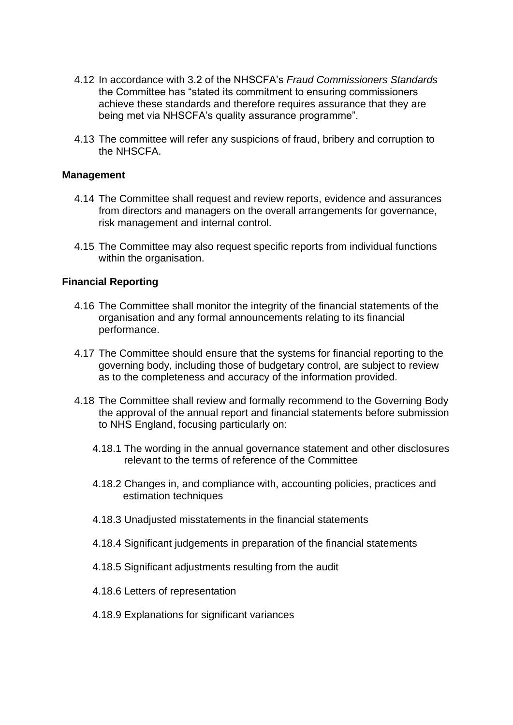- 4.12 In accordance with 3.2 of the NHSCFA's *Fraud Commissioners Standards* the Committee has "stated its commitment to ensuring commissioners achieve these standards and therefore requires assurance that they are being met via NHSCFA's quality assurance programme".
- 4.13 The committee will refer any suspicions of fraud, bribery and corruption to the NHSCFA.

#### **Management**

- 4.14 The Committee shall request and review reports, evidence and assurances from directors and managers on the overall arrangements for governance, risk management and internal control.
- 4.15 The Committee may also request specific reports from individual functions within the organisation.

#### **Financial Reporting**

- 4.16 The Committee shall monitor the integrity of the financial statements of the organisation and any formal announcements relating to its financial performance.
- 4.17 The Committee should ensure that the systems for financial reporting to the governing body, including those of budgetary control, are subject to review as to the completeness and accuracy of the information provided.
- 4.18 The Committee shall review and formally recommend to the Governing Body the approval of the annual report and financial statements before submission to NHS England, focusing particularly on:
	- 4.18.1 The wording in the annual governance statement and other disclosures relevant to the terms of reference of the Committee
	- 4.18.2 Changes in, and compliance with, accounting policies, practices and estimation techniques
	- 4.18.3 Unadjusted misstatements in the financial statements
	- 4.18.4 Significant judgements in preparation of the financial statements
	- 4.18.5 Significant adjustments resulting from the audit
	- 4.18.6 Letters of representation
	- 4.18.9 Explanations for significant variances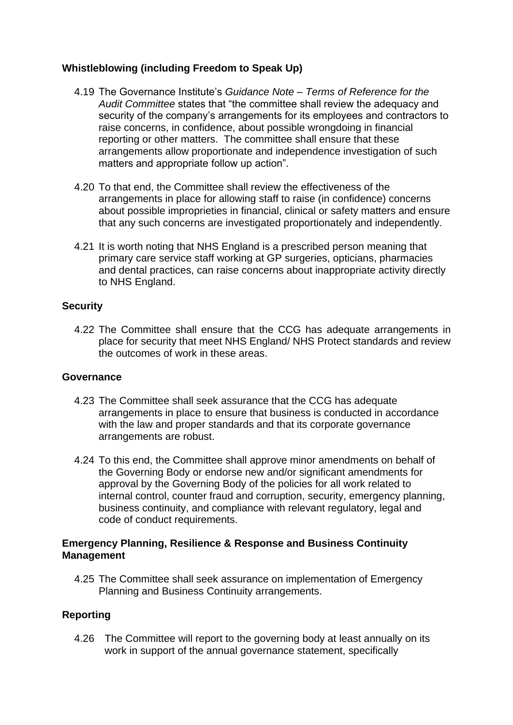## **Whistleblowing (including Freedom to Speak Up)**

- 4.19 The Governance Institute's *Guidance Note – Terms of Reference for the Audit Committee* states that "the committee shall review the adequacy and security of the company's arrangements for its employees and contractors to raise concerns, in confidence, about possible wrongdoing in financial reporting or other matters. The committee shall ensure that these arrangements allow proportionate and independence investigation of such matters and appropriate follow up action".
- 4.20 To that end, the Committee shall review the effectiveness of the arrangements in place for allowing staff to raise (in confidence) concerns about possible improprieties in financial, clinical or safety matters and ensure that any such concerns are investigated proportionately and independently.
- 4.21 It is worth noting that NHS England is a prescribed person meaning that primary care service staff working at GP surgeries, opticians, pharmacies and dental practices, can raise concerns about inappropriate activity directly to NHS England.

## **Security**

4.22 The Committee shall ensure that the CCG has adequate arrangements in place for security that meet NHS England/ NHS Protect standards and review the outcomes of work in these areas.

## **Governance**

- 4.23 The Committee shall seek assurance that the CCG has adequate arrangements in place to ensure that business is conducted in accordance with the law and proper standards and that its corporate governance arrangements are robust.
- 4.24 To this end, the Committee shall approve minor amendments on behalf of the Governing Body or endorse new and/or significant amendments for approval by the Governing Body of the policies for all work related to internal control, counter fraud and corruption, security, emergency planning, business continuity, and compliance with relevant regulatory, legal and code of conduct requirements.

## **Emergency Planning, Resilience & Response and Business Continuity Management**

4.25 The Committee shall seek assurance on implementation of Emergency Planning and Business Continuity arrangements.

## **Reporting**

4.26 The Committee will report to the governing body at least annually on its work in support of the annual governance statement, specifically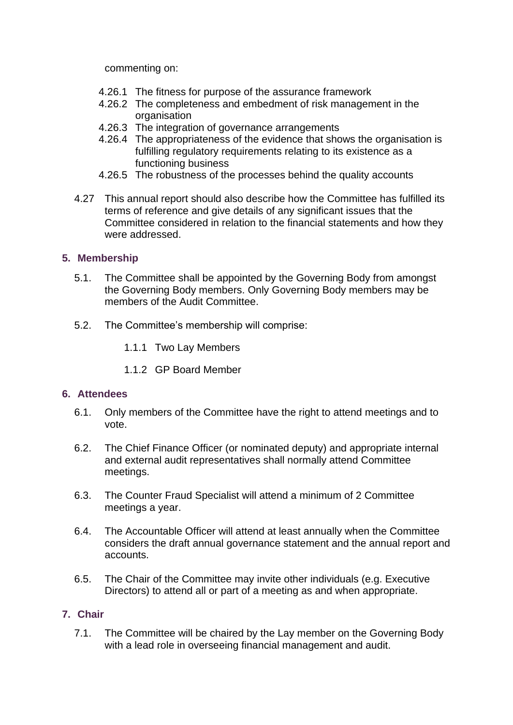commenting on:

- 4.26.1 The fitness for purpose of the assurance framework
- 4.26.2 The completeness and embedment of risk management in the organisation
- 4.26.3 The integration of governance arrangements
- 4.26.4 The appropriateness of the evidence that shows the organisation is fulfilling regulatory requirements relating to its existence as a functioning business
- 4.26.5 The robustness of the processes behind the quality accounts
- 4.27 This annual report should also describe how the Committee has fulfilled its terms of reference and give details of any significant issues that the Committee considered in relation to the financial statements and how they were addressed.

## **5. Membership**

- 5.1. The Committee shall be appointed by the Governing Body from amongst the Governing Body members. Only Governing Body members may be members of the Audit Committee.
- 5.2. The Committee's membership will comprise:
	- 1.1.1 Two Lay Members
	- 1.1.2 GP Board Member

## **6. Attendees**

- 6.1. Only members of the Committee have the right to attend meetings and to vote.
- 6.2. The Chief Finance Officer (or nominated deputy) and appropriate internal and external audit representatives shall normally attend Committee meetings.
- 6.3. The Counter Fraud Specialist will attend a minimum of 2 Committee meetings a year.
- 6.4. The Accountable Officer will attend at least annually when the Committee considers the draft annual governance statement and the annual report and accounts.
- 6.5. The Chair of the Committee may invite other individuals (e.g. Executive Directors) to attend all or part of a meeting as and when appropriate.

## **7. Chair**

7.1. The Committee will be chaired by the Lay member on the Governing Body with a lead role in overseeing financial management and audit.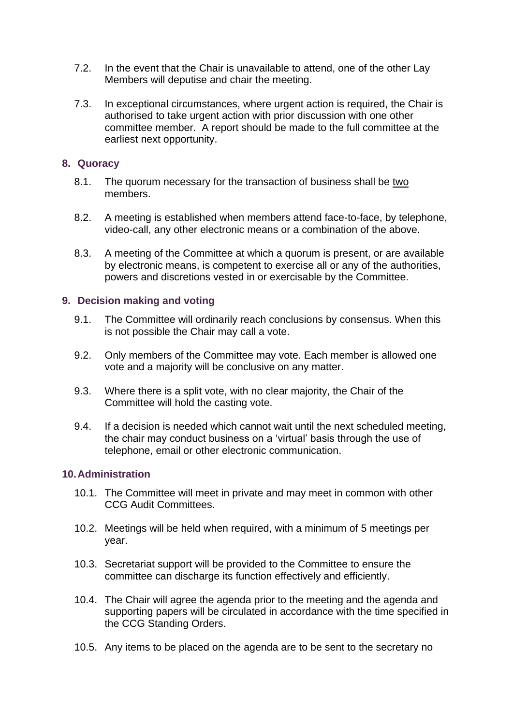- 7.2. In the event that the Chair is unavailable to attend, one of the other Lay Members will deputise and chair the meeting.
- 7.3. In exceptional circumstances, where urgent action is required, the Chair is authorised to take urgent action with prior discussion with one other committee member. A report should be made to the full committee at the earliest next opportunity.

## **8. Quoracy**

- 8.1. The quorum necessary for the transaction of business shall be two members.
- 8.2. A meeting is established when members attend face-to-face, by telephone, video-call, any other electronic means or a combination of the above.
- 8.3. A meeting of the Committee at which a quorum is present, or are available by electronic means, is competent to exercise all or any of the authorities, powers and discretions vested in or exercisable by the Committee.

## **9. Decision making and voting**

- 9.1. The Committee will ordinarily reach conclusions by consensus. When this is not possible the Chair may call a vote.
- 9.2. Only members of the Committee may vote. Each member is allowed one vote and a majority will be conclusive on any matter.
- 9.3. Where there is a split vote, with no clear majority, the Chair of the Committee will hold the casting vote.
- 9.4. If a decision is needed which cannot wait until the next scheduled meeting, the chair may conduct business on a 'virtual' basis through the use of telephone, email or other electronic communication.

## **10.Administration**

- 10.1. The Committee will meet in private and may meet in common with other CCG Audit Committees.
- 10.2. Meetings will be held when required, with a minimum of 5 meetings per year.
- 10.3. Secretariat support will be provided to the Committee to ensure the committee can discharge its function effectively and efficiently.
- 10.4. The Chair will agree the agenda prior to the meeting and the agenda and supporting papers will be circulated in accordance with the time specified in the CCG Standing Orders.
- 10.5. Any items to be placed on the agenda are to be sent to the secretary no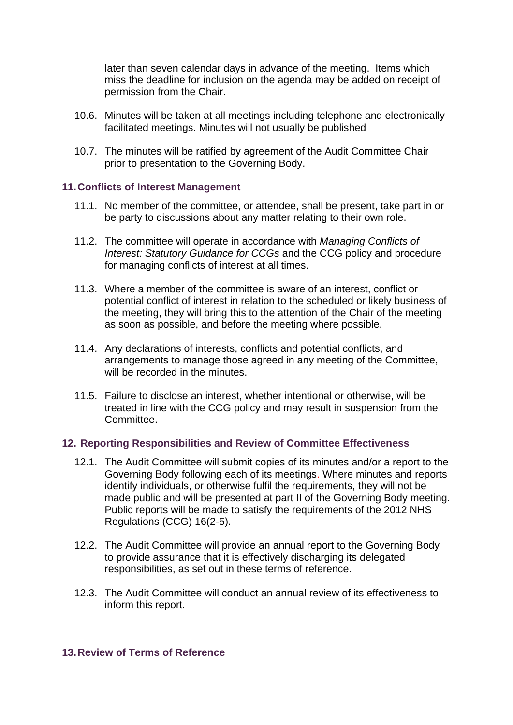later than seven calendar days in advance of the meeting. Items which miss the deadline for inclusion on the agenda may be added on receipt of permission from the Chair.

- 10.6. Minutes will be taken at all meetings including telephone and electronically facilitated meetings. Minutes will not usually be published
- 10.7. The minutes will be ratified by agreement of the Audit Committee Chair prior to presentation to the Governing Body.

## **11.Conflicts of Interest Management**

- 11.1. No member of the committee, or attendee, shall be present, take part in or be party to discussions about any matter relating to their own role.
- 11.2. The committee will operate in accordance with *Managing Conflicts of Interest: Statutory Guidance for CCGs* and the CCG policy and procedure for managing conflicts of interest at all times.
- 11.3. Where a member of the committee is aware of an interest, conflict or potential conflict of interest in relation to the scheduled or likely business of the meeting, they will bring this to the attention of the Chair of the meeting as soon as possible, and before the meeting where possible.
- 11.4. Any declarations of interests, conflicts and potential conflicts, and arrangements to manage those agreed in any meeting of the Committee, will be recorded in the minutes.
- 11.5. Failure to disclose an interest, whether intentional or otherwise, will be treated in line with the CCG policy and may result in suspension from the Committee.

#### **12. Reporting Responsibilities and Review of Committee Effectiveness**

- 12.1. The Audit Committee will submit copies of its minutes and/or a report to the Governing Body following each of its meetings. Where minutes and reports identify individuals, or otherwise fulfil the requirements, they will not be made public and will be presented at part II of the Governing Body meeting. Public reports will be made to satisfy the requirements of the 2012 NHS Regulations (CCG) 16(2-5).
- 12.2. The Audit Committee will provide an annual report to the Governing Body to provide assurance that it is effectively discharging its delegated responsibilities, as set out in these terms of reference.
- 12.3. The Audit Committee will conduct an annual review of its effectiveness to inform this report.

#### **13.Review of Terms of Reference**